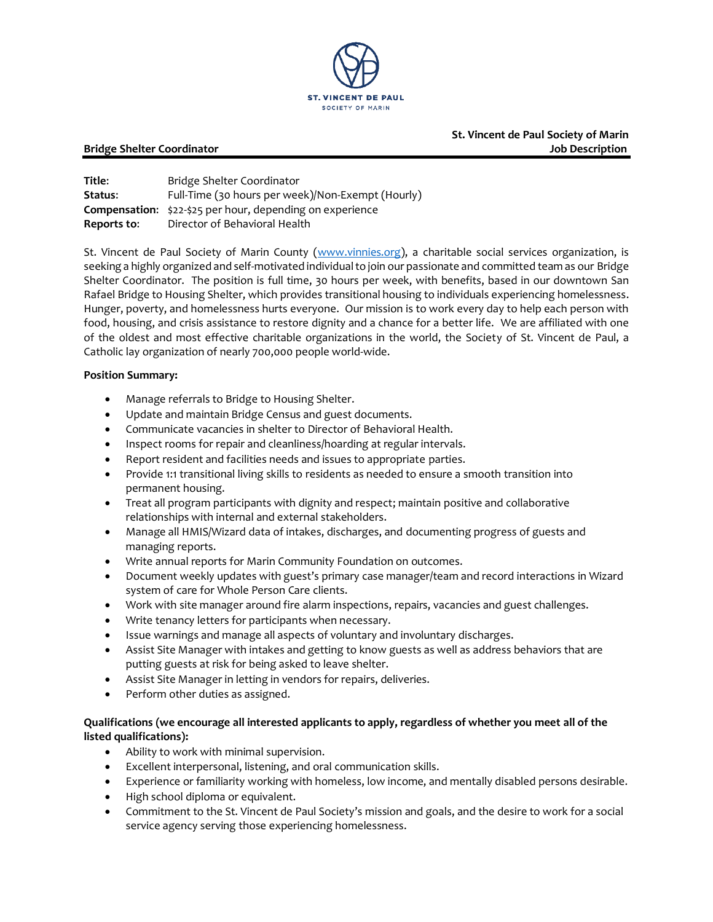

 **St. Vincent de Paul Society of Marin Bridge Shelter Coordinator Job Description** 

**Title:** Bridge Shelter Coordinator **Status:** Full-Time (30 hours per week)/Non-Exempt (Hourly) **Compensation**: \$22-\$25 per hour, depending on experience **Reports to**: Director of Behavioral Health

St. Vincent de Paul Society of Marin County [\(www.vinnies.org\)](http://www.vinnies.org/), a charitable social services organization, is seeking a highly organized and self-motivated individual to join our passionate and committed team as our Bridge Shelter Coordinator. The position is full time, 30 hours per week, with benefits, based in our downtown San Rafael Bridge to Housing Shelter, which provides transitional housing to individuals experiencing homelessness. Hunger, poverty, and homelessness hurts everyone. Our mission is to work every day to help each person with food, housing, and crisis assistance to restore dignity and a chance for a better life. We are affiliated with one of the oldest and most effective charitable organizations in the world, the Society of St. Vincent de Paul, a Catholic lay organization of nearly 700,000 people world‐wide.

### **Position Summary:**

- Manage referrals to Bridge to Housing Shelter.
- Update and maintain Bridge Census and guest documents.
- Communicate vacancies in shelter to Director of Behavioral Health.
- Inspect rooms for repair and cleanliness/hoarding at regular intervals.
- Report resident and facilities needs and issues to appropriate parties.
- Provide 1:1 transitional living skills to residents as needed to ensure a smooth transition into permanent housing.
- Treat all program participants with dignity and respect; maintain positive and collaborative relationships with internal and external stakeholders.
- Manage all HMIS/Wizard data of intakes, discharges, and documenting progress of guests and managing reports.
- Write annual reports for Marin Community Foundation on outcomes.
- Document weekly updates with guest's primary case manager/team and record interactions in Wizard system of care for Whole Person Care clients.
- Work with site manager around fire alarm inspections, repairs, vacancies and guest challenges.
- Write tenancy letters for participants when necessary.
- Issue warnings and manage all aspects of voluntary and involuntary discharges.
- Assist Site Manager with intakes and getting to know guests as well as address behaviors that are putting guests at risk for being asked to leave shelter.
- Assist Site Manager in letting in vendors for repairs, deliveries.
- Perform other duties as assigned.

# **Qualifications (we encourage all interested applicants to apply, regardless of whether you meet all of the listed qualifications):**

- Ability to work with minimal supervision.
- Excellent interpersonal, listening, and oral communication skills.
- Experience or familiarity working with homeless, low income, and mentally disabled persons desirable.
- High school diploma or equivalent.
- Commitment to the St. Vincent de Paul Society's mission and goals, and the desire to work for a social service agency serving those experiencing homelessness.